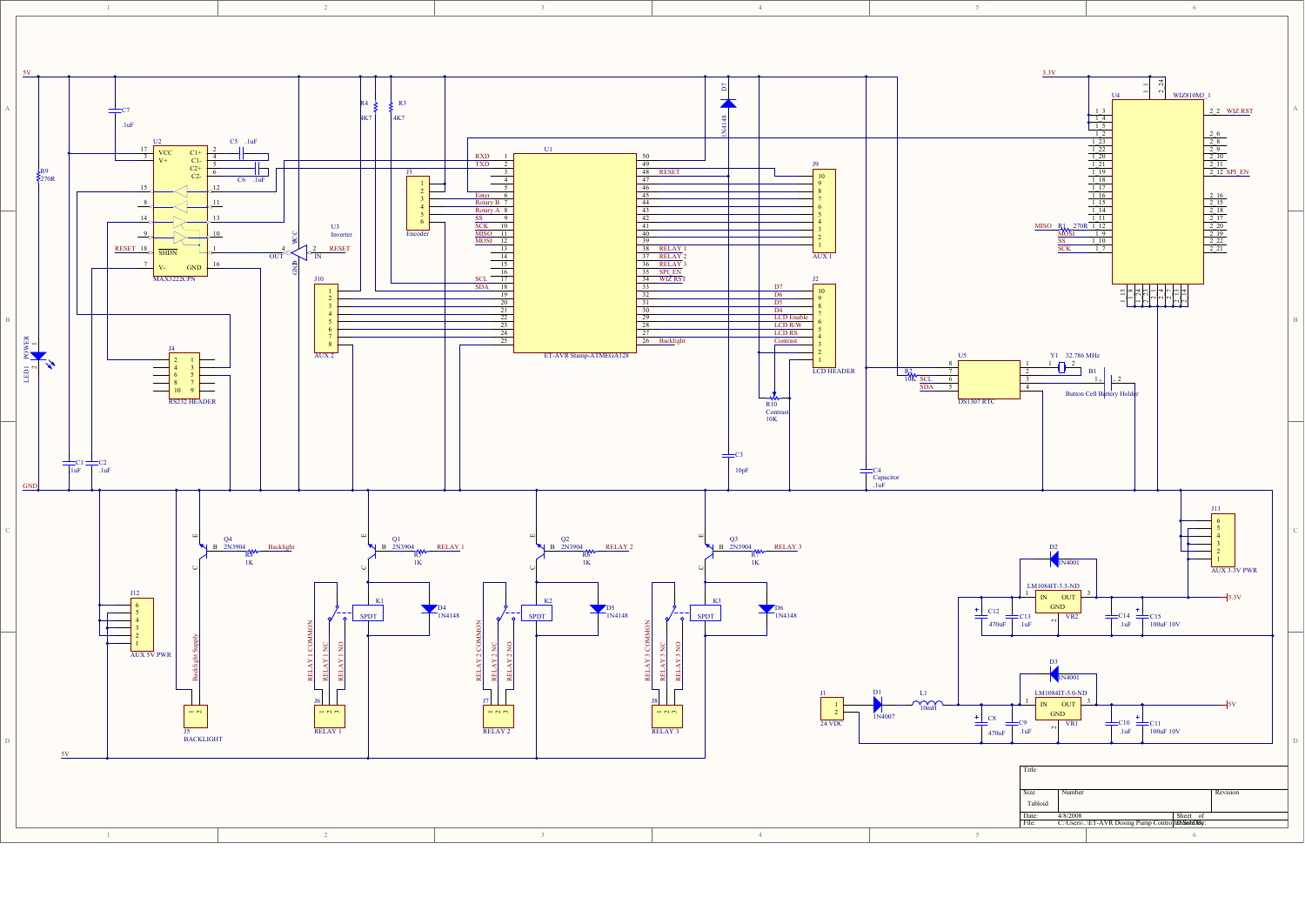

 $\overline{1}$ 

 $\overline{2}$ 



6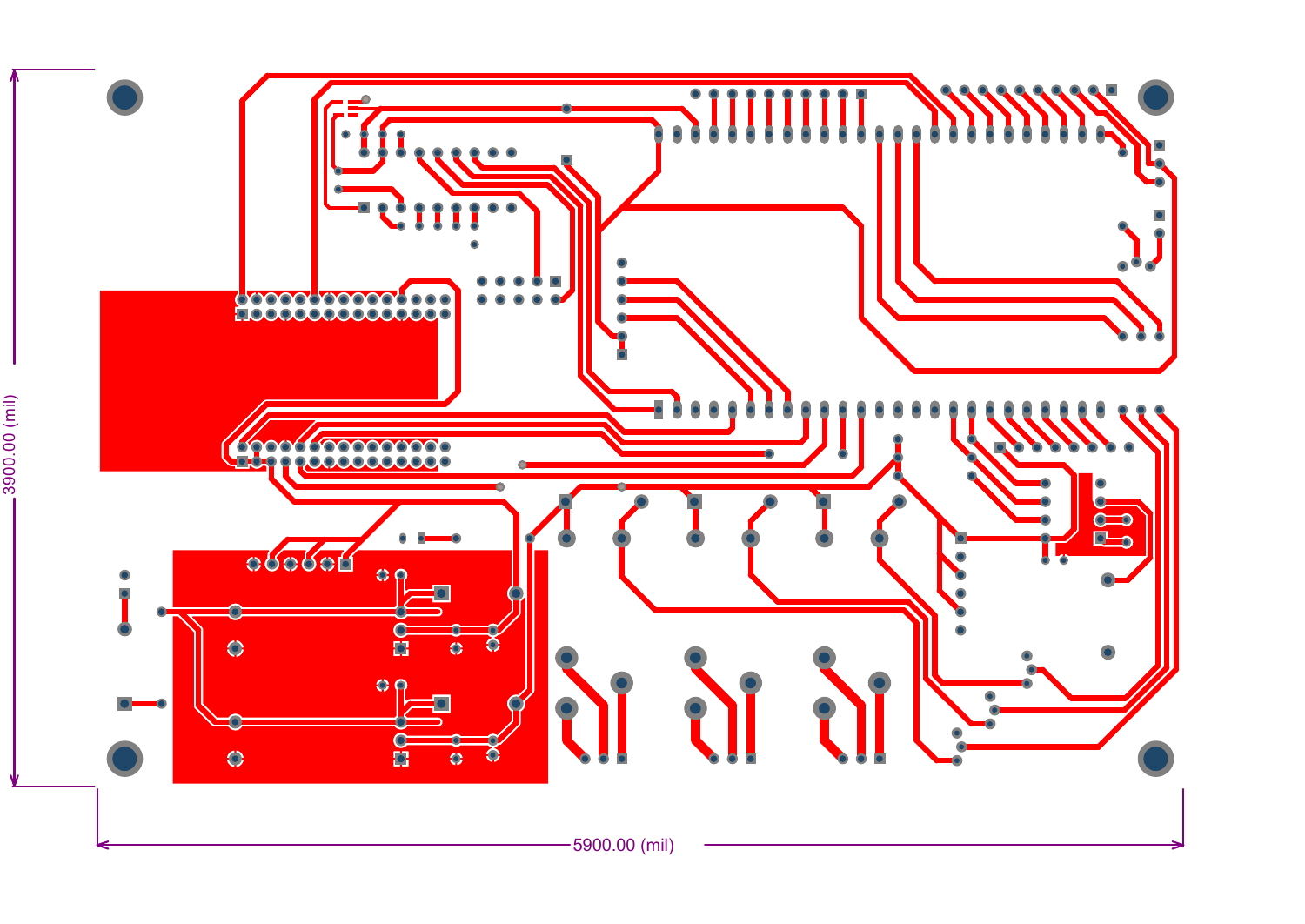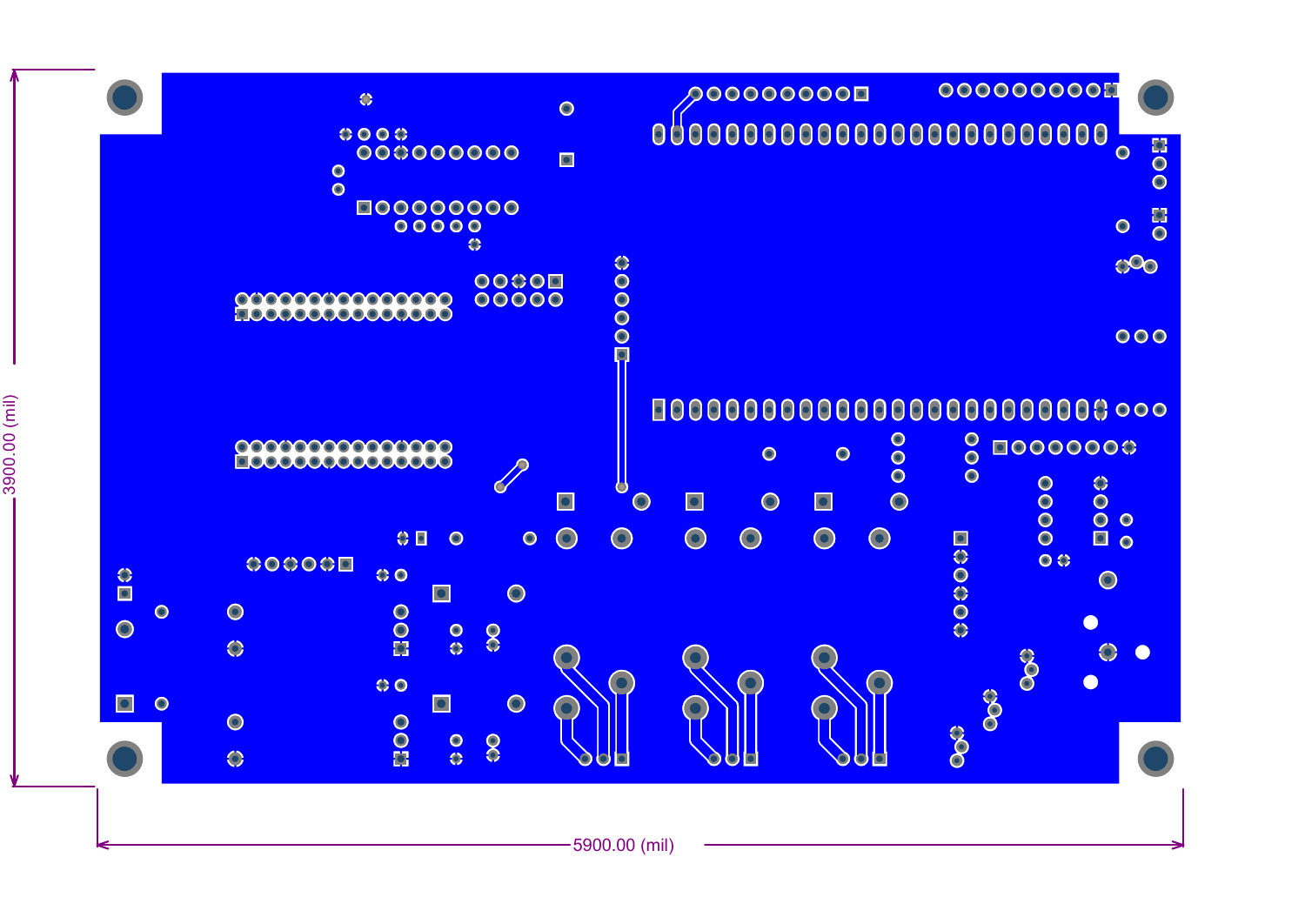